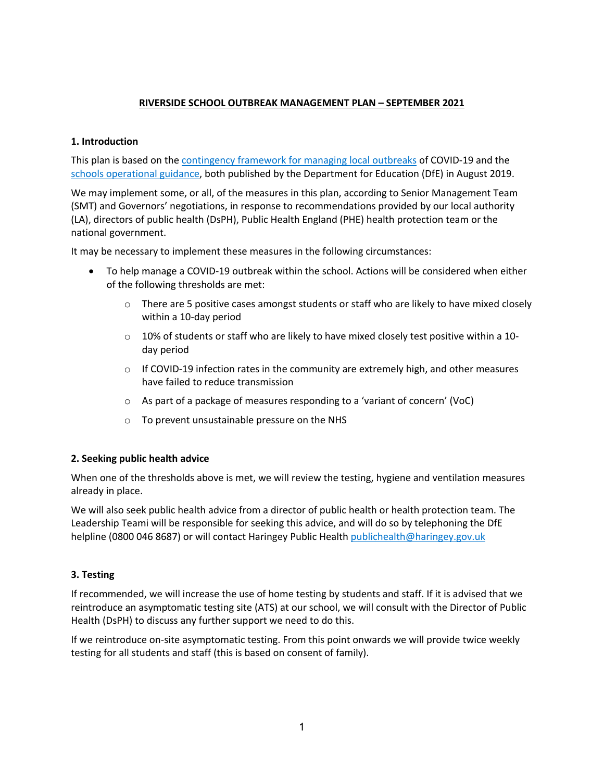# **RIVERSIDE SCHOOL OUTBREAK MANAGEMENT PLAN – SEPTEMBER 2021**

# **1. Introduction**

This plan is based on the contingency framework for managing local outbreaks of COVID-19 and the schools operational guidance, both published by the Department for Education (DfE) in August 2019.

We may implement some, or all, of the measures in this plan, according to Senior Management Team (SMT) and Governors' negotiations, in response to recommendations provided by our local authority (LA), directors of public health (DsPH), Public Health England (PHE) health protection team or the national government.

It may be necessary to implement these measures in the following circumstances:

- To help manage a COVID-19 outbreak within the school. Actions will be considered when either of the following thresholds are met:
	- $\circ$  There are 5 positive cases amongst students or staff who are likely to have mixed closely within a 10-day period
	- $\circ$  10% of students or staff who are likely to have mixed closely test positive within a 10day period
	- $\circ$  If COVID-19 infection rates in the community are extremely high, and other measures have failed to reduce transmission
	- o As part of a package of measures responding to a 'variant of concern' (VoC)
	- o To prevent unsustainable pressure on the NHS

# **2. Seeking public health advice**

When one of the thresholds above is met, we will review the testing, hygiene and ventilation measures already in place.

We will also seek public health advice from a director of public health or health protection team. The Leadership Teami will be responsible for seeking this advice, and will do so by telephoning the DfE helpline (0800 046 8687) or will contact Haringey Public Health publichealth@haringey.gov.uk

# **3. Testing**

If recommended, we will increase the use of home testing by students and staff. If it is advised that we reintroduce an asymptomatic testing site (ATS) at our school, we will consult with the Director of Public Health (DsPH) to discuss any further support we need to do this.

If we reintroduce on-site asymptomatic testing. From this point onwards we will provide twice weekly testing for all students and staff (this is based on consent of family).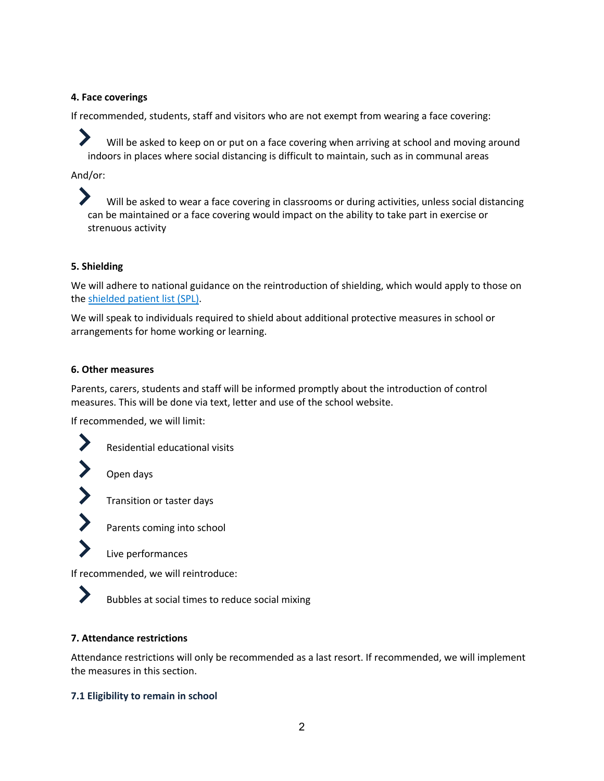### **4. Face coverings**

If recommended, students, staff and visitors who are not exempt from wearing a face covering:

Will be asked to keep on or put on a face covering when arriving at school and moving around indoors in places where social distancing is difficult to maintain, such as in communal areas

And/or:

Will be asked to wear a face covering in classrooms or during activities, unless social distancing can be maintained or a face covering would impact on the ability to take part in exercise or strenuous activity

# **5. Shielding**

We will adhere to national guidance on the reintroduction of shielding, which would apply to those on the shielded patient list (SPL).

We will speak to individuals required to shield about additional protective measures in school or arrangements for home working or learning.

### **6. Other measures**

Parents, carers, students and staff will be informed promptly about the introduction of control measures. This will be done via text, letter and use of the school website.

If recommended, we will limit:





∕

Parents coming into school

Live performances

If recommended, we will reintroduce:



Bubbles at social times to reduce social mixing

#### **7. Attendance restrictions**

Attendance restrictions will only be recommended as a last resort. If recommended, we will implement the measures in this section.

# **7.1 Eligibility to remain in school**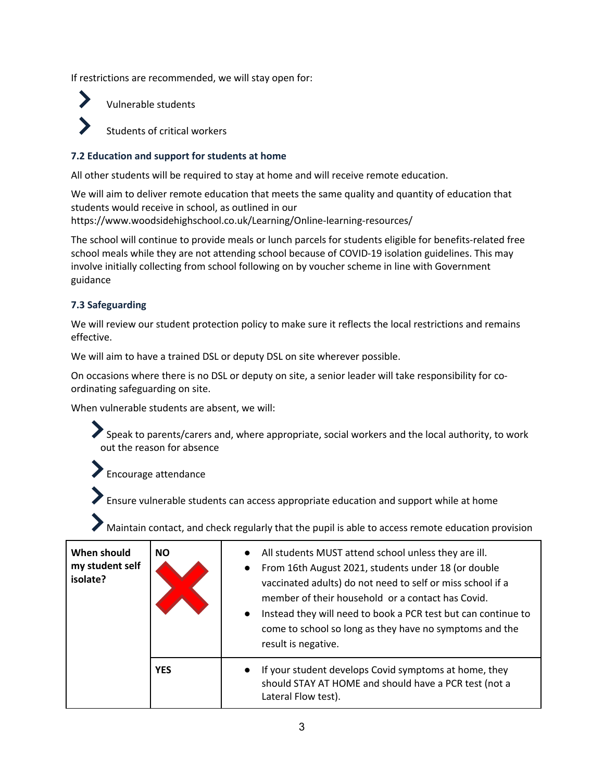If restrictions are recommended, we will stay open for:



Vulnerable students

Students of critical workers

### **7.2 Education and support for students at home**

All other students will be required to stay at home and will receive remote education.

We will aim to deliver remote education that meets the same quality and quantity of education that students would receive in school, as outlined in our https://www.woodsidehighschool.co.uk/Learning/Online-learning-resources/

The school will continue to provide meals or lunch parcels for students eligible for benefits-related free school meals while they are not attending school because of COVID-19 isolation guidelines. This may involve initially collecting from school following on by voucher scheme in line with Government guidance

### **7.3 Safeguarding**

We will review our student protection policy to make sure it reflects the local restrictions and remains effective.

We will aim to have a trained DSL or deputy DSL on site wherever possible.

On occasions where there is no DSL or deputy on site, a senior leader will take responsibility for coordinating safeguarding on site.

When vulnerable students are absent, we will:

Speak to parents/carers and, where appropriate, social workers and the local authority, to work out the reason for absence

Encourage attendance

Ensure vulnerable students can access appropriate education and support while at home

Maintain contact, and check regularly that the pupil is able to access remote education provision

| When should<br>my student self<br>isolate? | <b>NO</b>  | All students MUST attend school unless they are ill.<br>$\bullet$<br>From 16th August 2021, students under 18 (or double<br>$\bullet$<br>vaccinated adults) do not need to self or miss school if a<br>member of their household or a contact has Covid.<br>Instead they will need to book a PCR test but can continue to<br>$\bullet$<br>come to school so long as they have no symptoms and the<br>result is negative. |
|--------------------------------------------|------------|--------------------------------------------------------------------------------------------------------------------------------------------------------------------------------------------------------------------------------------------------------------------------------------------------------------------------------------------------------------------------------------------------------------------------|
|                                            | <b>YES</b> | If your student develops Covid symptoms at home, they<br>$\bullet$<br>should STAY AT HOME and should have a PCR test (not a<br>Lateral Flow test).                                                                                                                                                                                                                                                                       |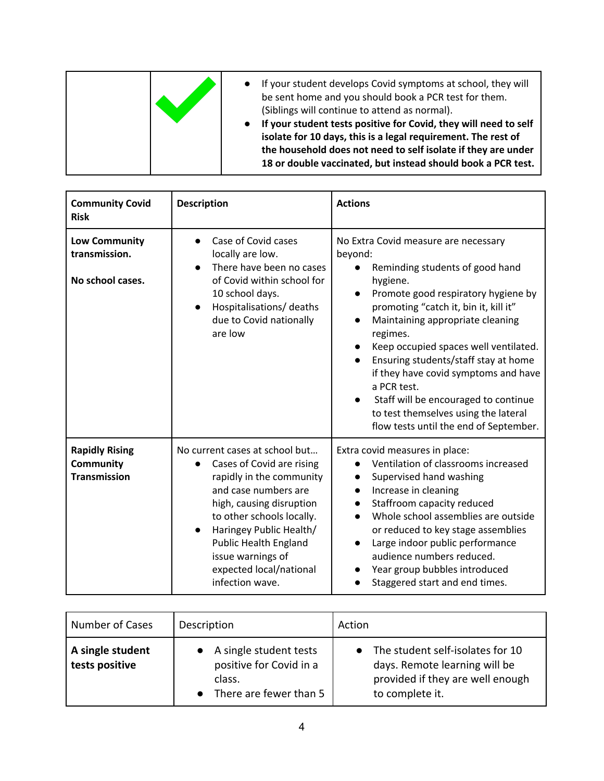|  | If your student develops Covid symptoms at school, they will<br>be sent home and you should book a PCR test for them.<br>(Siblings will continue to attend as normal).<br>If your student tests positive for Covid, they will need to self<br>isolate for 10 days, this is a legal requirement. The rest of<br>the household does not need to self isolate if they are under<br>18 or double vaccinated, but instead should book a PCR test. |
|--|----------------------------------------------------------------------------------------------------------------------------------------------------------------------------------------------------------------------------------------------------------------------------------------------------------------------------------------------------------------------------------------------------------------------------------------------|
|--|----------------------------------------------------------------------------------------------------------------------------------------------------------------------------------------------------------------------------------------------------------------------------------------------------------------------------------------------------------------------------------------------------------------------------------------------|

| <b>Community Covid</b><br><b>Risk</b>                            | <b>Description</b>                                                                                                                                                                                                                                                                                                  | <b>Actions</b>                                                                                                                                                                                                                                                                                                                                                                                                                                                                                                                          |
|------------------------------------------------------------------|---------------------------------------------------------------------------------------------------------------------------------------------------------------------------------------------------------------------------------------------------------------------------------------------------------------------|-----------------------------------------------------------------------------------------------------------------------------------------------------------------------------------------------------------------------------------------------------------------------------------------------------------------------------------------------------------------------------------------------------------------------------------------------------------------------------------------------------------------------------------------|
| <b>Low Community</b><br>transmission.<br>No school cases.        | Case of Covid cases<br>locally are low.<br>There have been no cases<br>of Covid within school for<br>10 school days.<br>Hospitalisations/ deaths<br>$\bullet$<br>due to Covid nationally<br>are low                                                                                                                 | No Extra Covid measure are necessary<br>beyond:<br>Reminding students of good hand<br>hygiene.<br>Promote good respiratory hygiene by<br>promoting "catch it, bin it, kill it"<br>Maintaining appropriate cleaning<br>$\bullet$<br>regimes.<br>Keep occupied spaces well ventilated.<br>Ensuring students/staff stay at home<br>$\bullet$<br>if they have covid symptoms and have<br>a PCR test.<br>Staff will be encouraged to continue<br>$\bullet$<br>to test themselves using the lateral<br>flow tests until the end of September. |
| <b>Rapidly Rising</b><br><b>Community</b><br><b>Transmission</b> | No current cases at school but<br>Cases of Covid are rising<br>$\bullet$<br>rapidly in the community<br>and case numbers are<br>high, causing disruption<br>to other schools locally.<br>Haringey Public Health/<br><b>Public Health England</b><br>issue warnings of<br>expected local/national<br>infection wave. | Extra covid measures in place:<br>Ventilation of classrooms increased<br>Supervised hand washing<br>Increase in cleaning<br>$\bullet$<br>Staffroom capacity reduced<br>$\bullet$<br>Whole school assemblies are outside<br>$\bullet$<br>or reduced to key stage assemblies<br>Large indoor public performance<br>$\bullet$<br>audience numbers reduced.<br>Year group bubbles introduced<br>Staggered start and end times.                                                                                                              |

| Number of Cases                    | Description                                                                             | Action                                                                                                                   |
|------------------------------------|-----------------------------------------------------------------------------------------|--------------------------------------------------------------------------------------------------------------------------|
| A single student<br>tests positive | A single student tests<br>positive for Covid in a<br>class.<br>• There are fewer than 5 | The student self-isolates for 10<br>days. Remote learning will be<br>provided if they are well enough<br>to complete it. |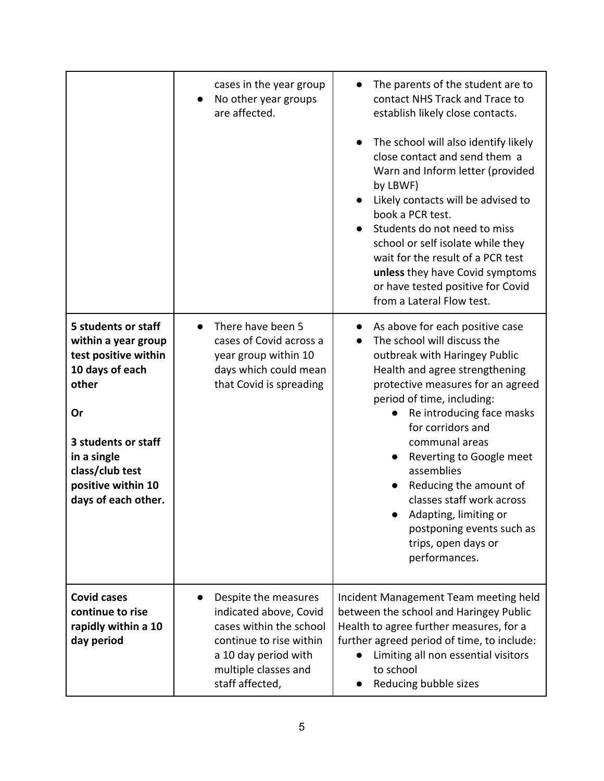|                                                                                                                                                                                                            | cases in the year group<br>No other year groups<br>are affected.                                                                                                        | The parents of the student are to<br>contact NHS Track and Trace to<br>establish likely close contacts.<br>The school will also identify likely<br>close contact and send them a<br>Warn and Inform letter (provided<br>by LBWF)<br>Likely contacts will be advised to<br>book a PCR test.<br>Students do not need to miss<br>school or self isolate while they<br>wait for the result of a PCR test<br>unless they have Covid symptoms<br>or have tested positive for Covid<br>from a Lateral Flow test. |
|------------------------------------------------------------------------------------------------------------------------------------------------------------------------------------------------------------|-------------------------------------------------------------------------------------------------------------------------------------------------------------------------|-----------------------------------------------------------------------------------------------------------------------------------------------------------------------------------------------------------------------------------------------------------------------------------------------------------------------------------------------------------------------------------------------------------------------------------------------------------------------------------------------------------|
| 5 students or staff<br>within a year group<br>test positive within<br>10 days of each<br>other<br>Or<br>3 students or staff<br>in a single<br>class/club test<br>positive within 10<br>days of each other. | There have been 5<br>cases of Covid across a<br>year group within 10<br>days which could mean<br>that Covid is spreading                                                | As above for each positive case<br>The school will discuss the<br>$\bullet$<br>outbreak with Haringey Public<br>Health and agree strengthening<br>protective measures for an agreed<br>period of time, including:<br>Re introducing face masks<br>for corridors and<br>communal areas<br>Reverting to Google meet<br>assemblies<br>Reducing the amount of<br>classes staff work across<br>Adapting, limiting or<br>postponing events such as<br>trips, open days or<br>performances.                      |
| <b>Covid cases</b><br>continue to rise<br>rapidly within a 10<br>day period                                                                                                                                | Despite the measures<br>indicated above, Covid<br>cases within the school<br>continue to rise within<br>a 10 day period with<br>multiple classes and<br>staff affected, | Incident Management Team meeting held<br>between the school and Haringey Public<br>Health to agree further measures, for a<br>further agreed period of time, to include:<br>Limiting all non essential visitors<br>to school<br>Reducing bubble sizes                                                                                                                                                                                                                                                     |